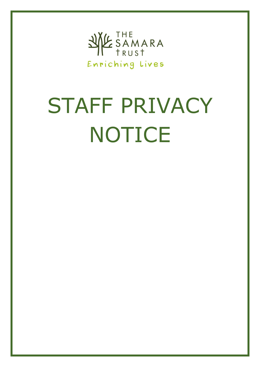

# STAFF PRIVACY NOTICE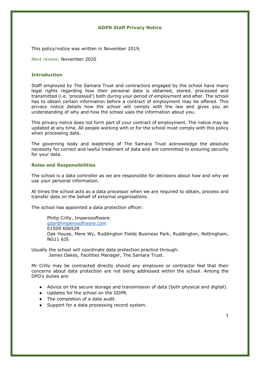# **GDPR Staff Privacy Notice**

This policy/notice was written in November 2019.

Next review: November 2020

# **Introduction**

Staff employed by The Samara Trust and contractors engaged by the school have many legal rights regarding how their personal data is obtained, stored, processed and transmitted (i.e. 'processed') both during your period of employment and after. The school has to obtain certain information before a contract of employment may be offered. This privacy notice details how the school will comply with the law and gives you an understanding of why and how the school uses the information about you.

This privacy notice does not form part of your contract of employment. The notice may be updated at any time. All people working with or for the school must comply with this policy when processing data.

The governing body and leadership of The Samara Trust acknowledge the absolute necessity for correct and lawful treatment of data and are committed to ensuring security for your data.

## **Roles and Responsibilities**

The school is a data controller as we are responsible for decisions about how and why we use your personal information.

At times the school acts as a data processor when we are required to obtain, process and transfer data on the behalf of external organisations.

The school has appointed a data protection officer:

Philip Crilly, Imperosoftware. [gdpr@imperosoftware.com](mailto:gdpr@imperosoftware.com) 01509 606529 Oak House, Mere Wy, Ruddington Fields Business Park, Ruddington, Nottingham, NG11 6JS

Usually the school will coordinate data protection practice through: James Oakes, Facilities Manager, The Samara Trust.

Mr Crilly may be contracted directly should any employee or contractor feel that their concerns about data protection are not being addressed within the school. Among the DPO's duties are:

- Advice on the secure storage and transmission of data (both physical and digital).
- Updates for the school on the GDPR.
- The completion of a data audit.
- Support for a data processing record system.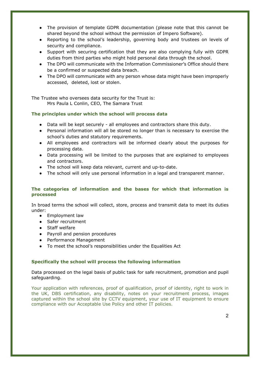- The provision of template GDPR documentation (please note that this cannot be shared beyond the school without the permission of Impero Software).
- Reporting to the school's leadership, governing body and trustees on levels of security and compliance.
- Support with securing certification that they are also complying fully with GDPR duties from third parties who might hold personal data through the school.
- The DPO will communicate with the Information Commissioner's Office should there be a confirmed or suspected data breach.
- The DPO will communicate with any person whose data might have been improperly accessed, deleted, lost or stolen.

The Trustee who oversees data security for the Trust is: Mrs Paula L Conlin, CEO, The Samara Trust

# **The principles under which the school will process data**

- Data will be kept securely all employees and contractors share this duty.
- Personal information will all be stored no longer than is necessary to exercise the school's duties and statutory requirements.
- All employees and contractors will be informed clearly about the purposes for processing data.
- Data processing will be limited to the purposes that are explained to employees and contractors.
- The school will keep data relevant, current and up-to-date.
- The school will only use personal information in a legal and transparent manner.

# **The categories of information and the bases for which that information is processed**

In broad terms the school will collect, store, process and transmit data to meet its duties under:

- Employment law
- Safer recruitment
- Staff welfare
- Payroll and pension procedures
- Performance Management
- To meet the school's responsibilities under the Equalities Act

# **Specifically the school will process the following information**

Data processed on the legal basis of public task for safe recruitment, promotion and pupil safeguarding.

Your application with references, proof of qualification, proof of identity, right to work in the UK, DBS certification, any disability, notes on your recruitment process, images captured within the school site by CCTV equipment, your use of IT equipment to ensure compliance with our Acceptable Use Policy and other IT policies.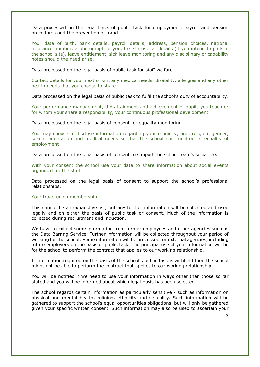Data processed on the legal basis of public task for employment, payroll and pension procedures and the prevention of fraud.

Your data of birth, bank details, payroll details, address, pension choices, national insurance number, a photograph of you, tax status, car details (if you intend to park in the school site), leave entitlement, sick leave monitoring and any disciplinary or capability notes should the need arise.

Data processed on the legal basis of public task for staff welfare.

Contact details for your next of kin, any medical needs, disability, allergies and any other health needs that you choose to share.

Data processed on the legal basis of public task to fulfil the school's duty of accountability.

Your performance management, the attainment and achievement of pupils you teach or for whom your share a responsibility, your continuous professional development

Data processed on the legal basis of consent for equality monitoring.

You may choose to disclose information regarding your ethnicity, age, religion, gender, sexual orientation and medical needs so that the school can monitor its equality of employment

Data processed on the legal basis of consent to support the school team's social life.

With your consent the school use your data to share information about social events organised for the staff.

Data processed on the legal basis of consent to support the school's professional relationships.

### Your trade union membership.

This cannot be an exhaustive list, but any further information will be collected and used legally and on either the basis of public task or consent. Much of the information is collected during recruitment and induction.

We have to collect some information from former employees and other agencies such as the Data Barring Service. Further information will be collected throughout your period of working for the school. Some information will be processed for external agencies, including future employers on the basis of public task. The principal use of your information will be for the school to perform the contract that applies to our working relationship.

If information required on the basis of the school's public task is withheld then the school might not be able to perform the contract that applies to our working relationship.

You will be notified if we need to use your information in ways other than those so far stated and you will be informed about which legal basis has been selected.

The school regards certain information as particularly sensitive - such as information on physical and mental health, religion, ethnicity and sexuality. Such information will be gathered to support the school's equal opportunities obligations, but will only be gathered given your specific written consent. Such information may also be used to ascertain your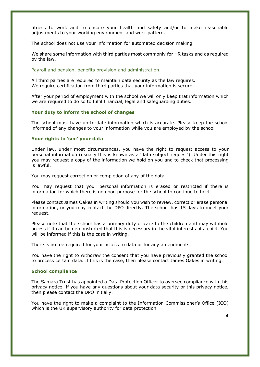fitness to work and to ensure your health and safety and/or to make reasonable adjustments to your working environment and work pattern.

The school does not use your information for automated decision making.

We share some information with third parties most commonly for HR tasks and as required by the law.

Payroll and pension, benefits provision and administration.

All third parties are required to maintain data security as the law requires. We require certification from third parties that your information is secure.

After your period of employment with the school we will only keep that information which we are required to do so to fulfil financial, legal and safeguarding duties.

# **Your duty to inform the school of changes**

The school must have up-to-date information which is accurate. Please keep the school informed of any changes to your information while you are employed by the school

### **Your rights to 'see' your data**

Under law, under most circumstances, you have the right to request access to your personal information (usually this is known as a 'data subject request'). Under this right you may request a copy of the information we hold on you and to check that processing is lawful.

You may request correction or completion of any of the data.

You may request that your personal information is erased or restricted if there is information for which there is no good purpose for the school to continue to hold.

Please contact James Oakes in writing should you wish to review, correct or erase personal information, or you may contact the DPO directly. The school has 15 days to meet your request.

Please note that the school has a primary duty of care to the children and may withhold access if it can be demonstrated that this is necessary in the vital interests of a child. You will be informed if this is the case in writing.

There is no fee required for your access to data or for any amendments.

You have the right to withdraw the consent that you have previously granted the school to process certain data. If this is the case, then please contact James Oakes in writing.

### **School compliance**

The Samara Trust has appointed a Data Protection Officer to oversee compliance with this privacy notice. If you have any questions about your data security or this privacy notice, then please contact the DPO initially.

You have the right to make a complaint to the Information Commissioner's Office (ICO) which is the UK supervisory authority for data protection.